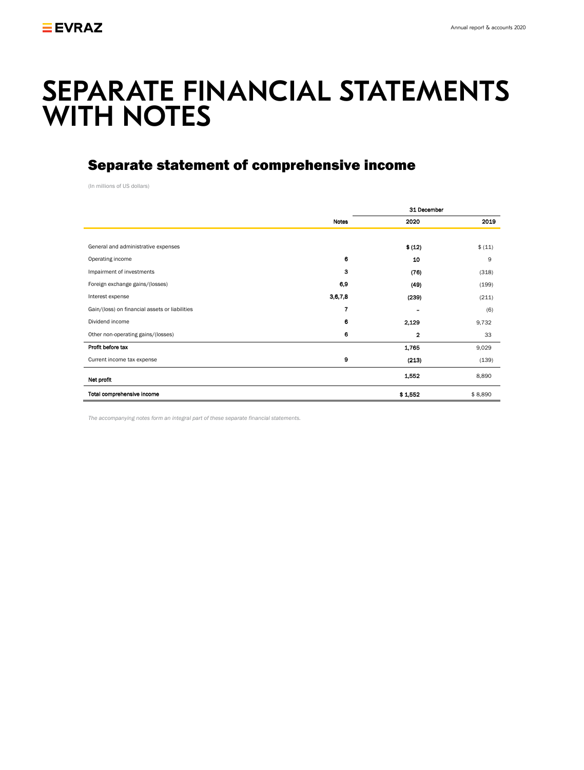# **SEPARATE FINANCIAL STATEMENTS** WITH NOTES **for the year end 31 December 2020**

# Separate statement of comprehensive income

(In millions of US dollars)

|                                                |              | 31 December |         |
|------------------------------------------------|--------------|-------------|---------|
|                                                | <b>Notes</b> | 2020        | 2019    |
|                                                |              |             |         |
| General and administrative expenses            |              | \$(12)      | \$ (11) |
| Operating income                               | 6            | 10          | 9       |
| Impairment of investments                      | 3            | (76)        | (318)   |
| Foreign exchange gains/(losses)                | 6,9          | (49)        | (199)   |
| Interest expense                               | 3,6,7,8      | (239)       | (211)   |
| Gain/(loss) on financial assets or liabilities | 7            |             | (6)     |
| Dividend income                                | 6            | 2,129       | 9,732   |
| Other non-operating gains/(losses)             | 6            | 2           | 33      |
| Profit before tax                              |              | 1,765       | 9,029   |
| Current income tax expense                     | 9            | (213)       | (139)   |
| Net profit                                     |              | 1,552       | 8,890   |
| Total comprehensive income                     |              | \$1,552     | \$8,890 |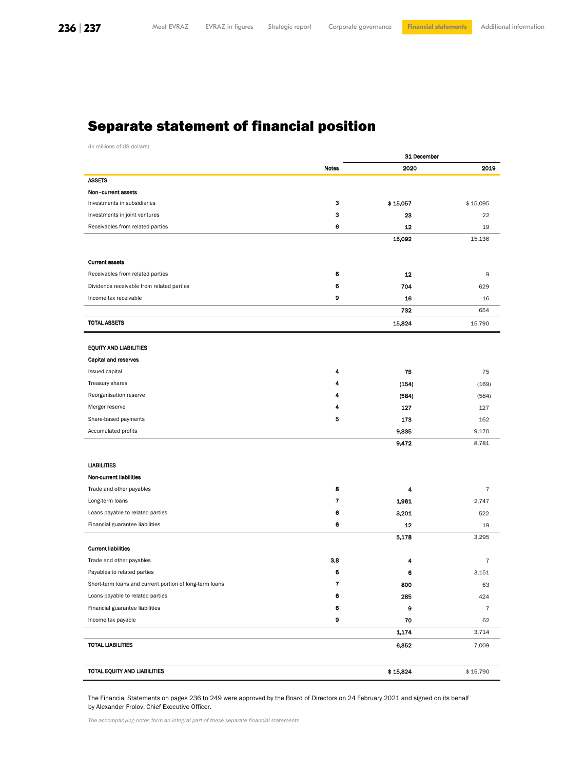31 December

# Separate statement of financial position

(In millions of US dollars)

|                                                         | Notes          | 2020     | 2019           |
|---------------------------------------------------------|----------------|----------|----------------|
| <b>ASSETS</b>                                           |                |          |                |
| Non-current assets                                      |                |          |                |
| Investments in subsidiaries                             | з              | \$15,057 | \$15,095       |
| Investments in joint ventures                           | з              | 23       | 22             |
| Receivables from related parties                        | 6              | 12       | 19             |
|                                                         |                | 15,092   | 15,136         |
| <b>Current assets</b>                                   |                |          |                |
| Receivables from related parties                        | 6              | 12       | 9              |
| Dividends receivable from related parties               | 6              | 704      | 629            |
| Income tax receivable                                   | 9              | 16       | 16             |
|                                                         |                | 732      | 654            |
| <b>TOTAL ASSETS</b>                                     |                | 15,824   | 15,790         |
| <b>EQUITY AND LIABILITIES</b>                           |                |          |                |
| Capital and reserves                                    |                |          |                |
| Issued capital                                          | 4              | 75       | 75             |
| Treasury shares                                         | 4              | (154)    | (169)          |
| Reorganisation reserve                                  | 4              | (584)    | (584)          |
| Merger reserve                                          | 4              | 127      | 127            |
| Share-based payments                                    | 5              | 173      | 162            |
| Accumulated profits                                     |                | 9,835    | 9,170          |
|                                                         |                | 9,472    | 8,781          |
| <b>LIABILITIES</b>                                      |                |          |                |
| Non-current liabilities                                 |                |          |                |
| Trade and other payables                                | 8              | 4        | $\overline{7}$ |
| Long-term loans                                         | $\overline{7}$ | 1,961    | 2,747          |
| Loans payable to related parties                        | 6              | 3,201    | 522            |
| Financial guarantee liabilities                         | 6              | 12       | 19             |
|                                                         |                | 5,178    | 3,295          |
| <b>Current liabilities</b>                              |                |          |                |
| Trade and other payables                                | 3,8            | 4        | 7              |
| Payables to related parties                             | 6              | 6        | 3,151          |
| Short-term loans and current portion of long-term loans | $\overline{I}$ | 800      | 63             |
| Loans payable to related parties                        | 6              | 285      | 424            |
| Financial guarantee liabilities                         | 6              | 9        | $\overline{7}$ |
| Income tax payable                                      | 9              | 70       | 62             |
|                                                         |                | 1,174    | 3,714          |
| <b>TOTAL LIABILITIES</b>                                |                | 6,352    | 7,009          |
| TOTAL EQUITY AND LIABILITIES                            |                | \$15,824 | \$15,790       |

The Financial Statements o[n pages](#page-2-0) 236 to 249 were approved by the Board of Directors on 24 February 2021 and signed on its behalf by Alexander Frolov, Chief Executive Officer.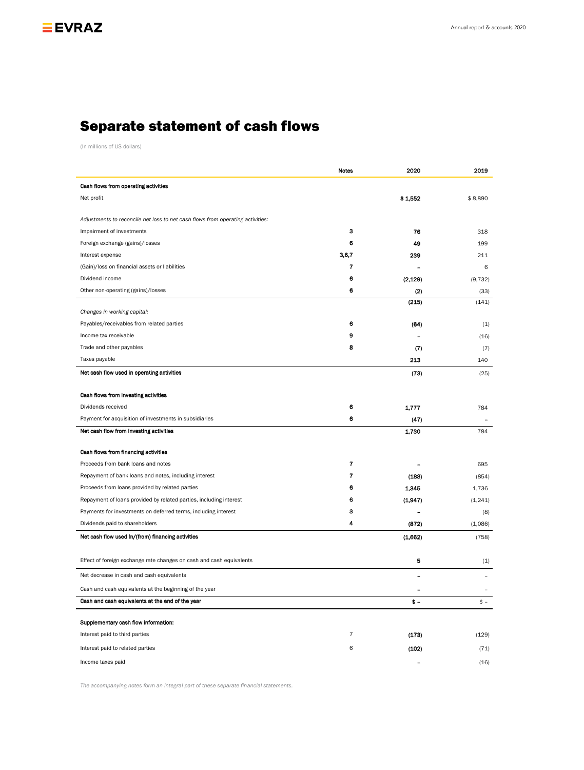# <span id="page-2-0"></span>Separate statement of cash flows

(In millions of US dollars)

|                                                                                                            | <b>Notes</b>            | 2020                             | 2019                       |
|------------------------------------------------------------------------------------------------------------|-------------------------|----------------------------------|----------------------------|
| Cash flows from operating activities                                                                       |                         |                                  |                            |
| Net profit                                                                                                 |                         | \$1,552                          | \$8,890                    |
| Adjustments to reconcile net loss to net cash flows from operating activities:                             |                         |                                  |                            |
| Impairment of investments                                                                                  | з                       | 76                               | 318                        |
| Foreign exchange (gains)/losses                                                                            | 6                       | 49                               | 199                        |
| Interest expense                                                                                           | 3,6,7                   | 239                              | 211                        |
| (Gain)/loss on financial assets or liabilities                                                             | $\overline{\mathbf{r}}$ |                                  | 6                          |
| Dividend income                                                                                            | 6                       | (2, 129)                         | (9, 732)                   |
| Other non-operating (gains)/losses                                                                         | 6                       | (2)                              | (33)                       |
| Changes in working capital:                                                                                |                         | (215)                            | (141)                      |
| Payables/receivables from related parties                                                                  | 6                       | (64)                             |                            |
| Income tax receivable                                                                                      | 9                       |                                  | (1)                        |
| Trade and other payables                                                                                   | 8                       |                                  | (16)                       |
| Taxes payable                                                                                              |                         | (7)<br>213                       | (7)<br>140                 |
| Net cash flow used in operating activities                                                                 |                         | (73)                             | (25)                       |
|                                                                                                            |                         |                                  |                            |
| Cash flows from investing activities                                                                       |                         |                                  |                            |
| Dividends received                                                                                         | 6                       | 1,777                            | 784                        |
| Payment for acquisition of investments in subsidiaries                                                     | 6                       | (47)                             |                            |
| Net cash flow from investing activities                                                                    |                         | 1,730                            | 784                        |
| Cash flows from financing activities                                                                       |                         |                                  |                            |
| Proceeds from bank loans and notes                                                                         | 7                       |                                  | 695                        |
| Repayment of bank loans and notes, including interest                                                      | 7                       | (188)                            | (854)                      |
| Proceeds from loans provided by related parties                                                            | 6                       | 1,345                            | 1,736                      |
| Repayment of loans provided by related parties, including interest                                         | 6                       | (1,947)                          | (1,241)                    |
| Payments for investments on deferred terms, including interest                                             | з                       |                                  | (8)                        |
| Dividends paid to shareholders                                                                             | 4                       | (872)                            | (1,086)                    |
| Net cash flow used in/(from) financing activities                                                          |                         | (1,662)                          | (758)                      |
| Effect of foreign exchange rate changes on cash and cash equivalents                                       |                         | 5                                | (1)                        |
| Net decrease in cash and cash equivalents                                                                  |                         | $\overline{a}$                   |                            |
|                                                                                                            |                         |                                  |                            |
| Cash and cash equivalents at the beginning of the year<br>Cash and cash equivalents at the end of the year |                         | $\overline{\phantom{0}}$<br>\$ – | $\qquad \qquad -$<br>$$ -$ |
|                                                                                                            |                         |                                  |                            |
| Supplementary cash flow information:                                                                       |                         |                                  |                            |
| Interest paid to third parties                                                                             | 7                       | (173)                            | (129)                      |
| Interest paid to related parties                                                                           | 6                       | (102)                            | (71)                       |
| Income taxes paid                                                                                          |                         | -                                | (16)                       |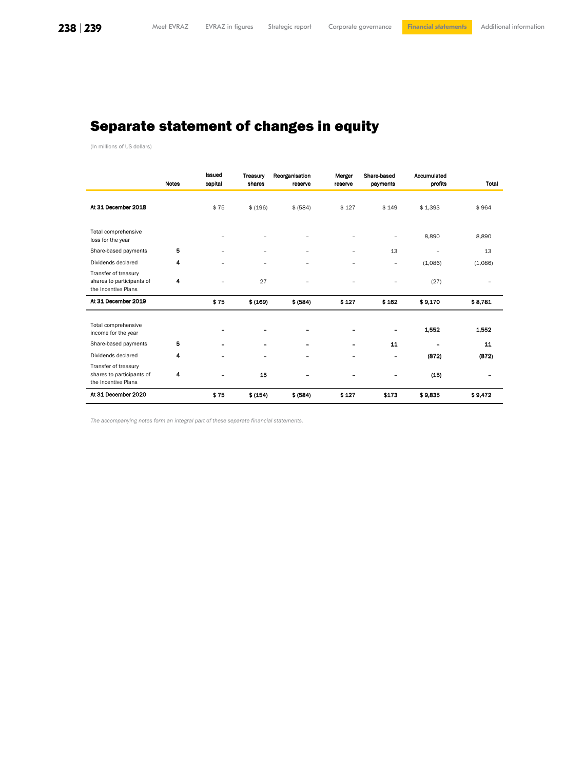# Separate statement of changes in equity

(In millions of US dollars)

|                                                                          | <b>Notes</b> | Issued<br>capital | Treasury<br>shares | Reorganisation<br>reserve | Merger<br>reserve | Share based<br>payments  | Accumulated<br>profits | Total   |
|--------------------------------------------------------------------------|--------------|-------------------|--------------------|---------------------------|-------------------|--------------------------|------------------------|---------|
| At 31 December 2018                                                      |              | \$75              | \$ (196)           | \$ (584)                  | \$127             | \$149                    | \$1,393                | \$964   |
| Total comprehensive<br>loss for the year                                 |              |                   |                    |                           |                   | $\overline{\phantom{0}}$ | 8,890                  | 8,890   |
| Share-based payments                                                     | 5            |                   | $\qquad \qquad -$  | -                         | ۰                 | 13                       | ۰                      | 13      |
| Dividends declared                                                       | 4            |                   | ÷                  |                           |                   | $\overline{\phantom{0}}$ | (1,086)                | (1,086) |
| Transfer of treasury<br>shares to participants of<br>the Incentive Plans | 4            |                   | 27                 |                           |                   |                          | (27)                   |         |
| At 31 December 2019                                                      |              | \$75              | \$(169)            | \$ (584)                  | \$127             | \$162                    | \$9,170                | \$8,781 |
| Total comprehensive<br>income for the year                               |              |                   |                    |                           |                   | $\overline{\phantom{0}}$ | 1,552                  | 1,552   |
| Share-based payments                                                     | 5            |                   |                    |                           |                   | 11                       |                        | 11      |
| Dividends declared                                                       | 4            |                   |                    |                           |                   | -                        | (872)                  | (872)   |
| Transfer of treasury<br>shares to participants of<br>the Incentive Plans | 4            |                   | 15                 |                           |                   |                          | (15)                   |         |
| At 31 December 2020                                                      |              | \$75              | \$ (154)           | \$ (584)                  | \$127             | \$173                    | \$9,835                | \$9,472 |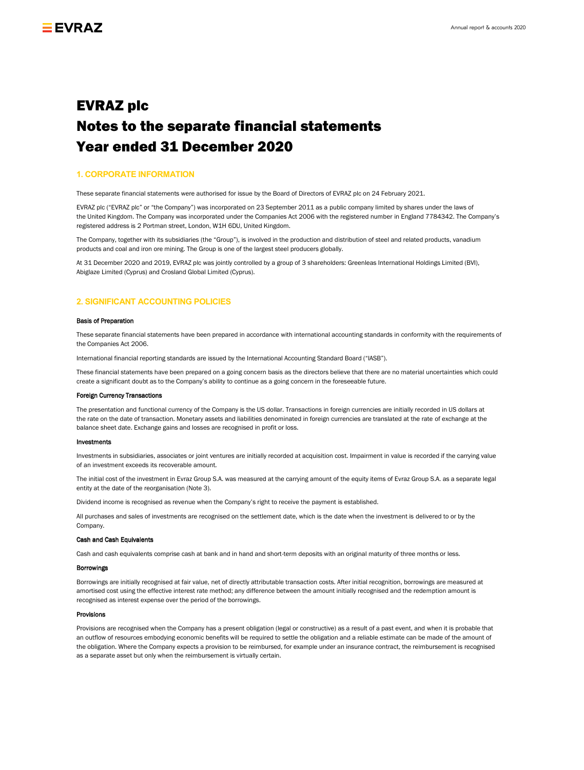# EVRAZ plc Notes to the separate financial statements Year ended 31 December 2020

### **1. CORPORATE INFORMATION**

These separate financial statements were authorised for issue by the Board of Directors of EVRAZ plc on 24 February 2021.

EVRAZ plc ("EVRAZ plc" or "the Company") was incorporated on 23 September 2011 as a public company limited by shares under the laws of the United Kingdom. The Company was incorporated under the Companies Act 2006 with the registered number in England 7784342. The Company's registered address is 2 Portman street, London, W1H 6DU, United Kingdom.

The Company, together with its subsidiaries (the "Group"), is involved in the production and distribution of steel and related products, vanadium products and coal and iron ore mining. The Group is one of the largest steel producers globally.

At 31 December 2020 and 2019, EVRAZ plc was jointly controlled by a group of 3 shareholders: Greenleas International Holdings Limited (BVI), Abiglaze Limited (Cyprus) and Crosland Global Limited (Cyprus).

# **2. SIGNIFICANT ACCOUNTING POLICIES**

#### Basis of Preparation

These separate financial statements have been prepared in accordance with international accounting standards in conformity with the requirements of the Companies Act 2006.

International financial reporting standards are issued by the International Accounting Standard Board ("IASB").

These financial statements have been prepared on a going concern basis as the directors believe that there are no material uncertainties which could create a significant doubt as to the Company's ability to continue as a going concern in the foreseeable future.

#### Foreign Currency Transactions

The presentation and functional currency of the Company is the US dollar. Transactions in foreign currencies are initially recorded in US dollars at the rate on the date of transaction. Monetary assets and liabilities denominated in foreign currencies are translated at the rate of exchange at the balance sheet date. Exchange gains and losses are recognised in profit or loss.

#### Investments

Investments in subsidiaries, associates or joint ventures are initially recorded at acquisition cost. Impairment in value is recorded if the carrying value of an investment exceeds its recoverable amount.

The initial cost of the investment in Evraz Group S.A. was measured at the carrying amount of the equity items of Evraz Group S.A. as a separate legal entity at the date of the reorganisation (Note 3).

Dividend income is recognised as revenue when the Company's right to receive the payment is established.

All purchases and sales of investments are recognised on the settlement date, which is the date when the investment is delivered to or by the Company.

#### Cash and Cash Equivalents

Cash and cash equivalents comprise cash at bank and in hand and short-term deposits with an original maturity of three months or less.

#### **Borrowings**

Borrowings are initially recognised at fair value, net of directly attributable transaction costs. After initial recognition, borrowings are measured at amortised cost using the effective interest rate method; any difference between the amount initially recognised and the redemption amount is recognised as interest expense over the period of the borrowings.

#### Provisions

Provisions are recognised when the Company has a present obligation (legal or constructive) as a result of a past event, and when it is probable that an outflow of resources embodying economic benefits will be required to settle the obligation and a reliable estimate can be made of the amount of the obligation. Where the Company expects a provision to be reimbursed, for example under an insurance contract, the reimbursement is recognised as a separate asset but only when the reimbursement is virtually certain.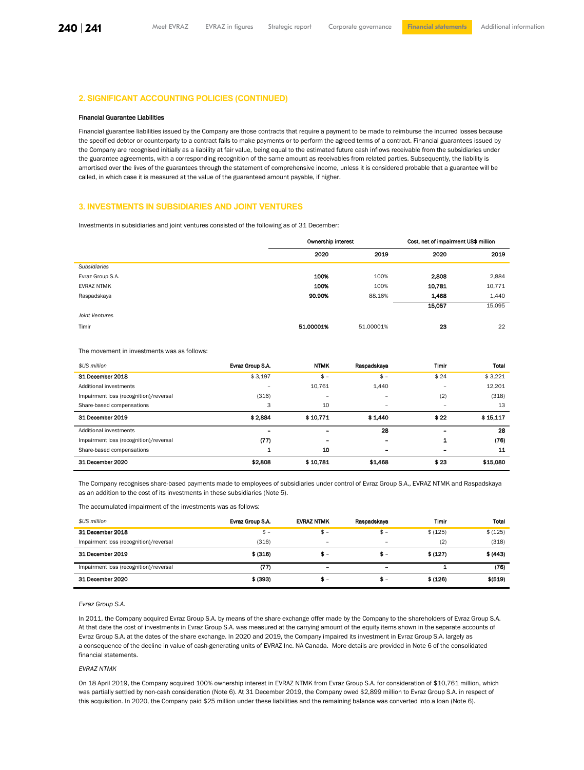## **2. SIGNIFICANT ACCOUNTING POLICIES (CONTINUED)**

#### Financial Guarantee Liabilities

Financial guarantee liabilities issued by the Company are those contracts that require a payment to be made to reimburse the incurred losses because the specified debtor or counterparty to a contract fails to make payments or to perform the agreed terms of a contract. Financial guarantees issued by the Company are recognised initially as a liability at fair value, being equal to the estimated future cash inflows receivable from the subsidiaries under the guarantee agreements, with a corresponding recognition of the same amount as receivables from related parties. Subsequently, the liability is amortised over the lives of the guarantees through the statement of comprehensive income, unless it is considered probable that a guarantee will be called, in which case it is measured at the value of the guaranteed amount payable, if higher.

# **3. INVESTMENTS IN SUBSIDIARIES AND JOINT VENTURES**

Investments in subsidiaries and joint ventures consisted of the following as of 31 December:

|                     | Ownership interest |           | Cost, net of impairment US\$ million |        |  |
|---------------------|--------------------|-----------|--------------------------------------|--------|--|
|                     | 2020               | 2019      | 2020                                 | 2019   |  |
| <b>Subsidiaries</b> |                    |           |                                      |        |  |
| Evraz Group S.A.    | 100%               | 100%      | 2.808                                | 2,884  |  |
| EVRAZ NTMK          | 100%               | 100%      | 10.781                               | 10,771 |  |
| Raspadskaya         | 90.90%             | 88.16%    | 1.468                                | 1,440  |  |
|                     |                    |           | 15,057                               | 15,095 |  |
| Joint Ventures      |                    |           |                                      |        |  |
| Timir               | 51.00001%          | 51.00001% | 23                                   | 22     |  |

#### The movement in investments was as follows:

| \$US million                           | Evraz Group S.A.         | <b>NTMK</b> | Raspadskava              | Timir                    | Total    |
|----------------------------------------|--------------------------|-------------|--------------------------|--------------------------|----------|
| 31 December 2018                       | \$3.197                  | $$ -$       | $$ -$                    | \$24                     | \$3.221  |
| Additional investments                 |                          | 10.761      | 1.440                    | -                        | 12.201   |
| Impairment loss (recognition)/reversal | (316)                    | -           | $\overline{\phantom{a}}$ | (2)                      | (318)    |
| Share-based compensations              | 3                        | 10          | -                        | -                        | 13       |
| 31 December 2019                       | \$2.884                  | \$10,771    | \$1.440                  | \$22                     | \$15,117 |
| Additional investments                 | $\overline{\phantom{0}}$ |             | 28                       | -                        | 28       |
| Impairment loss (recognition)/reversal | (77)                     | -           | $\overline{\phantom{0}}$ |                          | (76)     |
| Share-based compensations              |                          | 10          | $\overline{\phantom{0}}$ | $\overline{\phantom{a}}$ | 11       |
| 31 December 2020                       | \$2,808                  | \$10,781    | \$1,468                  | \$23                     | \$15,080 |

The Company recognises share-based payments made to employees of subsidiaries under control of Evraz Group S.A., EVRAZ NTMK and Raspadskaya as an addition to the cost of its investments in these subsidiaries (Note 5).

The accumulated impairment of the investments was as follows:

| \$US million                           | Evraz Group S.A. | <b>EVRAZ NTMK</b> | Raspadskaya              | Timir    | Total       |
|----------------------------------------|------------------|-------------------|--------------------------|----------|-------------|
| 31 December 2018                       | $$ -$            | $s -$             | $\overline{\phantom{a}}$ | \$ (125) | \$ (125)    |
| Impairment loss (recognition)/reversal | (316)            | -                 | $\overline{\phantom{0}}$ | (2)      | (318)       |
| 31 December 2019                       | \$ (316)         | Я.                | s –                      | \$(127)  | \$ (443)    |
| Impairment loss (recognition)/reversal | (77)             | -                 | $\overline{\phantom{0}}$ |          | (76)        |
| 31 December 2020                       | \$ (393)         | s –               | s –                      | \$ (126) | $$^{(519)}$ |

### *Evraz Group S.A.*

In 2011, the Company acquired Evraz Group S.A. by means of the share exchange offer made by the Company to the shareholders of Evraz Group S.A. At that date the cost of investments in Evraz Group S.A. was measured at the carrying amount of the equity items shown in the separate accounts of Evraz Group S.A. at the dates of the share exchange. In 2020 and 2019, the Company impaired its investment in Evraz Group S.A. largely as a consequence of the decline in value of cash-generating units of EVRAZ Inc. NA Canada. More details are provided in Note 6 of the consolidated financial statements.

#### *EVRAZ NTMK*

On 18 April 2019, the Company acquired 100% ownership interest in EVRAZ NTMK from Evraz Group S.A. for consideration of \$10,761 million, which was partially settled by non-cash consideration (Note 6). At 31 December 2019, the Company owed \$2,899 million to Evraz Group S.A. in respect of this acquisition. In 2020, the Company paid \$25 million under these liabilities and the remaining balance was converted into a loan (Note 6).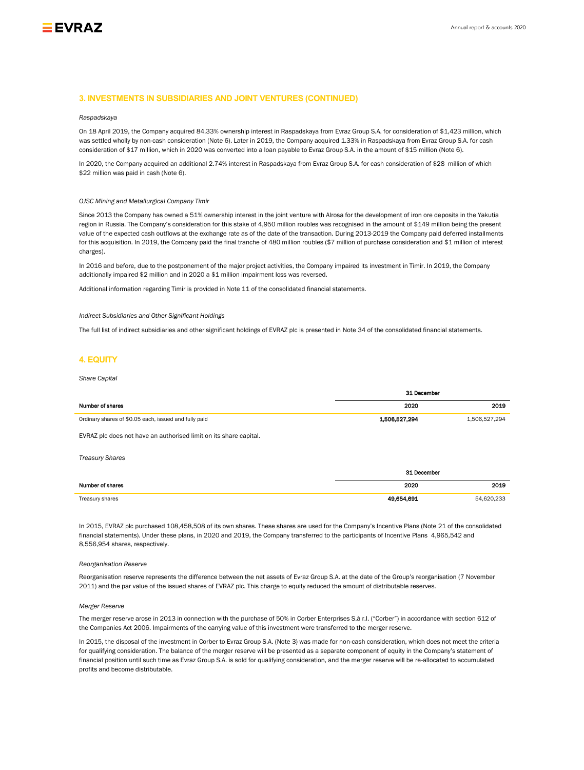

# **3. INVESTMENTS IN SUBSIDIARIES AND JOINT VENTURES (CONTINUED)**

#### *Raspadskaya*

On 18 April 2019, the Company acquired 84.33% ownership interest in Raspadskaya from Evraz Group S.A. for consideration of \$1,423 million, which was settled wholly by non-cash consideration (Note 6). Later in 2019, the Company acquired 1.33% in Raspadskaya from Evraz Group S.A. for cash consideration of \$17 million, which in 2020 was converted into a loan payable to Evraz Group S.A. in the amount of \$15 million (Note 6).

In 2020, the Company acquired an additional 2.74% interest in Raspadskaya from Evraz Group S.A. for cash consideration of \$28 million of which \$22 million was paid in cash (Note 6).

#### *OJSC Mining and Metallurgical Company Timir*

Since 2013 the Company has owned a 51% ownership interest in the joint venture with Alrosa for the development of iron ore deposits in the Yakutia region in Russia. The Company's consideration for this stake of 4,950 million roubles was recognised in the amount of \$149 million being the present value of the expected cash outflows at the exchange rate as of the date of the transaction. During 2013-2019 the Company paid deferred installments for this acquisition. In 2019, the Company paid the final tranche of 480 million roubles (\$7 million of purchase consideration and \$1 million of interest charges).

In 2016 and before, due to the postponement of the major project activities, the Company impaired its investment in Timir. In 2019, the Company additionally impaired \$2 million and in 2020 a \$1 million impairment loss was reversed.

Additional information regarding Timir is provided in Note 11 of the consolidated financial statements.

*Indirect Subsidiaries and Other Significant Holdings*

The full list of indirect subsidiaries and other significant holdings of EVRAZ plc is presented in Note 34 of the consolidated financial statements.

### **4. EQUITY**

#### *Share Capital*

|                                                       | 31 December   |               |
|-------------------------------------------------------|---------------|---------------|
| Number of shares                                      | 2020          | 2019          |
| Ordinary shares of \$0.05 each, issued and fully paid | 1,506,527,294 | 1.506.527.294 |

EVRAZ plc does not have an authorised limit on its share capital.

#### *Treasury Shares*

|                  | 31 December |            |
|------------------|-------------|------------|
| Number of shares | 2020        | 2019       |
| Treasury shares  | 49.654.691  | 54.620.233 |

In 2015, EVRAZ plc purchased 108,458,508 of its own shares. These shares are used for the Company's Incentive Plans (Note 21 of the consolidated financial statements). Under these plans, in 2020 and 2019, the Company transferred to the participants of Incentive Plans 4,965,542 and 8,556,954 shares, respectively.

#### *Reorganisation Reserve*

Reorganisation reserve represents the difference between the net assets of Evraz Group S.A. at the date of the Group's reorganisation (7 November 2011) and the par value of the issued shares of EVRAZ plc. This charge to equity reduced the amount of distributable reserves.

#### *Merger Reserve*

The merger reserve arose in 2013 in connection with the purchase of 50% in Corber Enterprises S.à r.l. ("Corber") in accordance with section 612 of the Companies Act 2006. Impairments of the carrying value of this investment were transferred to the merger reserve.

In 2015, the disposal of the investment in Corber to Evraz Group S.A. (Note 3) was made for non-cash consideration, which does not meet the criteria for qualifying consideration. The balance of the merger reserve will be presented as a separate component of equity in the Company's statement of financial position until such time as Evraz Group S.A. is sold for qualifying consideration, and the merger reserve will be re-allocated to accumulated profits and become distributable.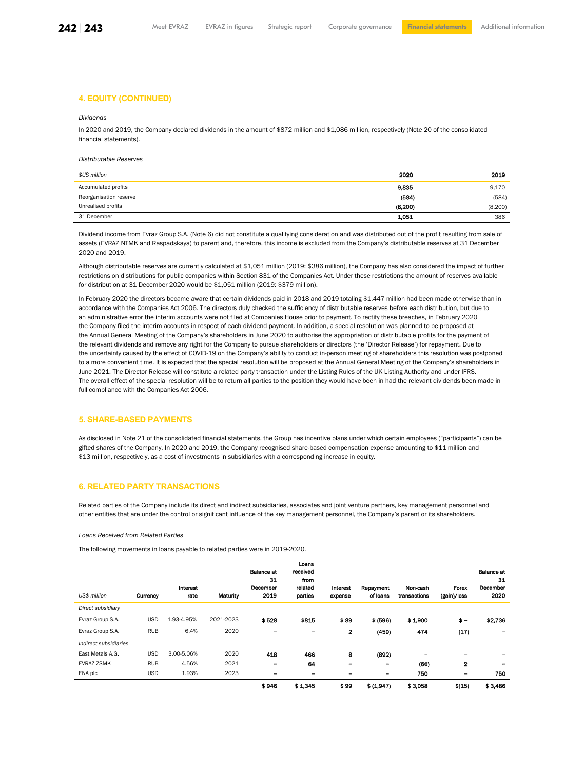## **4. EQUITY (CONTINUED)**

#### *Dividends*

In 2020 and 2019, the Company declared dividends in the amount of \$872 million and \$1,086 million, respectively (Note 20 of the consolidated financial statements).

*Distributable Reserves*

| \$US million           | 2020     | 2019     |
|------------------------|----------|----------|
| Accumulated profits    | 9.835    | 9,170    |
| Reorganisation reserve | (584)    | (584)    |
| Unrealised profits     | (8, 200) | (8, 200) |
| 31 December            | 1.051    | 386      |

Dividend income from Evraz Group S.A. (Note 6) did not constitute a qualifying consideration and was distributed out of the profit resulting from sale of assets (EVRAZ NTMK and Raspadskaya) to parent and, therefore, this income is excluded from the Company's distributable reserves at 31 December 2020 and 2019.

Although distributable reserves are currently calculated at \$1,051 million (2019: \$386 million), the Company has also considered the impact of further restrictions on distributions for public companies within Section 831 of the Companies Act. Under these restrictions the amount of reserves available for distribution at 31 December 2020 would be \$1,051 million (2019: \$379 million).

In February 2020 the directors became aware that certain dividends paid in 2018 and 2019 totaling \$1,447 million had been made otherwise than in accordance with the Companies Act 2006. The directors duly checked the sufficiency of distributable reserves before each distribution, but due to an administrative error the interim accounts were not filed at Companies House prior to payment. To rectify these breaches, in February 2020 the Company filed the interim accounts in respect of each dividend payment. In addition, a special resolution was planned to be proposed at the Annual General Meeting of the Company's shareholders in June 2020 to authorise the appropriation of distributable profits for the payment of the relevant dividends and remove any right for the Company to pursue shareholders or directors (the 'Director Release') for repayment. Due to the uncertainty caused by the effect of COVID-19 on the Company's ability to conduct in-person meeting of shareholders this resolution was postponed to a more convenient time. It is expected that the special resolution will be proposed at the Annual General Meeting of the Company's shareholders in June 2021. The Director Release will constitute a related party transaction under the Listing Rules of the UK Listing Authority and under IFRS. The overall effect of the special resolution will be to return all parties to the position they would have been in had the relevant dividends been made in full compliance with the Companies Act 2006.

# **5. SHARE-BASED PAYMENTS**

As disclosed in Note 21 of the consolidated financial statements, the Group has incentive plans under which certain employees ("participants") can be gifted shares of the Company. In 2020 and 2019, the Company recognised share-based compensation expense amounting to \$11 million and \$13 million, respectively, as a cost of investments in subsidiaries with a corresponding increase in equity.

# **6. RELATED PARTY TRANSACTIONS**

Related parties of the Company include its direct and indirect subsidiaries, associates and joint venture partners, key management personnel and other entities that are under the control or significant influence of the key management personnel, the Company's parent or its shareholders.

#### *Loans Received from Related Parties*

The following movements in loans payable to related parties were in 2019-2020.

| US\$ million          | Currency   | Interest<br>rate | <b>Maturity</b> | <b>Balance at</b><br>31<br>December<br>2019 | Loans<br>received<br>from<br>related<br>parties | Interest<br>expense      | Repayment<br>of loans    | Non-cash<br>transactions | Forex<br>(gain)/loss | <b>Balance at</b><br>31<br>December<br>2020 |
|-----------------------|------------|------------------|-----------------|---------------------------------------------|-------------------------------------------------|--------------------------|--------------------------|--------------------------|----------------------|---------------------------------------------|
| Direct subsidiary     |            |                  |                 |                                             |                                                 |                          |                          |                          |                      |                                             |
| Evraz Group S.A.      | <b>USD</b> | 1.93-4.95%       | 2021-2023       | \$528                                       | \$815                                           | \$89                     | \$ (596)                 | \$1,900                  | $$ -$                | \$2,736                                     |
| Evraz Group S.A.      | <b>RUB</b> | 6.4%             | 2020            | $\overline{\phantom{a}}$                    | -                                               | $\mathbf{2}$             | (459)                    | 474                      | (17)                 |                                             |
| Indirect subsidiaries |            |                  |                 |                                             |                                                 |                          |                          |                          |                      |                                             |
| East Metals A.G.      | <b>USD</b> | 3.00-5.06%       | 2020            | 418                                         | 466                                             | 8                        | (892)                    | -                        | -                    |                                             |
| <b>EVRAZ ZSMK</b>     | <b>RUB</b> | 4.56%            | 2021            | $\overline{\phantom{m}}$                    | 64                                              | $\overline{\phantom{0}}$ | $\overline{\phantom{0}}$ | (66)                     | $\mathbf{2}$         |                                             |
| ENA plc               | <b>USD</b> | 1.93%            | 2023            | $\overline{\phantom{a}}$                    | -                                               | -                        | -                        | 750                      | -                    | 750                                         |
|                       |            |                  |                 | \$946                                       | \$1,345                                         | \$99                     | \$ (1,947)               | \$3,058                  | \$(15)               | \$3,486                                     |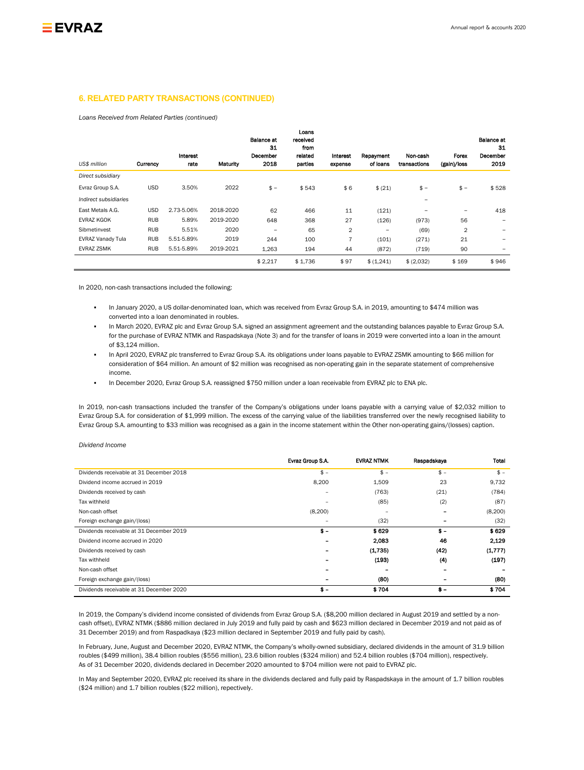## **6. RELATED PARTY TRANSACTIONS (CONTINUED)**

*Loans Received from Related Parties (continued)*

| US\$ million          | Currency   | <b>Interest</b><br>rate | Maturity  | Balance at<br>31<br>December<br>2018 | Loans<br>received<br>from<br>related<br>parties | Interest<br>expense | Repayment<br>of loans | Non-cash<br>transactions | Forex<br>(gain)/loss | <b>Balance at</b><br>31<br>December<br>2019 |
|-----------------------|------------|-------------------------|-----------|--------------------------------------|-------------------------------------------------|---------------------|-----------------------|--------------------------|----------------------|---------------------------------------------|
| Direct subsidiary     |            |                         |           |                                      |                                                 |                     |                       |                          |                      |                                             |
| Evraz Group S.A.      | <b>USD</b> | 3.50%                   | 2022      | $$ -$                                | \$543                                           | \$6                 | \$ (21)               | $$ -$                    | $$ -$                | \$528                                       |
| Indirect subsidiaries |            |                         |           |                                      |                                                 |                     |                       | $\overline{\phantom{a}}$ |                      |                                             |
| East Metals A.G.      | <b>USD</b> | 2.73-5.06%              | 2018-2020 | 62                                   | 466                                             | 11                  | (121)                 |                          |                      | 418                                         |
| EVRAZ KGOK            | <b>RUB</b> | 5.89%                   | 2019-2020 | 648                                  | 368                                             | 27                  | (126)                 | (973)                    | 56                   |                                             |
| Sibmetinvest          | <b>RUB</b> | 5.51%                   | 2020      | -                                    | 65                                              | $\overline{2}$      | -                     | (69)                     | $\overline{2}$       |                                             |
| EVRAZ Vanady Tula     | RUB        | 5.51-5.89%              | 2019      | 244                                  | 100                                             | $\overline{7}$      | (101)                 | (271)                    | 21                   |                                             |
| <b>EVRAZ ZSMK</b>     | RUB        | 5.51-5.89%              | 2019-2021 | 1,263                                | 194                                             | 44                  | (872)                 | (719)                    | 90                   |                                             |
|                       |            |                         |           | \$2,217                              | \$1,736                                         | \$97                | \$(1,241)             | \$ (2,032)               | \$169                | \$946                                       |

In 2020, non-cash transactions included the following:

- In January 2020, a US dollar-denominated loan, which was received from Evraz Group S.A. in 2019, amounting to \$474 million was converted into a loan denominated in roubles.
- In March 2020, EVRAZ plc and Evraz Group S.A. signed an assignment agreement and the outstanding balances payable to Evraz Group S.A. for the purchase of EVRAZ NTMK and Raspadskaya (Note 3) and for the transfer of loans in 2019 were converted into a loan in the amount of \$3,124 million.
- In April 2020, EVRAZ plc transferred to Evraz Group S.A. its obligations under loans payable to EVRAZ ZSMK amounting to \$66 million for consideration of \$64 million. An amount of \$2 million was recognised as non-operating gain in the separate statement of comprehensive income.
- In December 2020, Evraz Group S.A. reassigned \$750 million under a loan receivable from EVRAZ plc to ENA plc.

In 2019, non-cash transactions included the transfer of the Company's obligations under loans payable with a carrying value of \$2,032 million to Evraz Group S.A. for consideration of \$1,999 million. The excess of the carrying value of the liabilities transferred over the newly recognised liability to Evraz Group S.A. amounting to \$33 million was recognised as a gain in the income statement within the Other non-operating gains/(losses) caption.

*Dividend Income*

|                                          | Evraz Group S.A. | <b>EVRAZ NTMK</b> | Raspadskaya    | Total    |
|------------------------------------------|------------------|-------------------|----------------|----------|
| Dividends receivable at 31 December 2018 | $$ -$            | $$ -$             | $$ -$          | $$ -$    |
| Dividend income accrued in 2019          | 8,200            | 1,509             | 23             | 9,732    |
| Dividends received by cash               |                  | (763)             | (21)           | (784)    |
| Tax withheld                             | -                | (85)              | (2)            | (87)     |
| Non-cash offset                          | (8,200)          | -                 |                | (8, 200) |
| Foreign exchange gain/(loss)             | -                | (32)              |                | (32)     |
| Dividends receivable at 31 December 2019 | $s -$            | \$629             | $\mathbf{s}$ – | \$629    |
| Dividend income accrued in 2020          |                  | 2.083             | 46             | 2,129    |
| Dividends received by cash               |                  | (1,735)           | (42)           | (1, 777) |
| Tax withheld                             |                  | (193)             | (4)            | (197)    |
| Non-cash offset                          |                  |                   |                |          |
| Foreign exchange gain/(loss)             |                  | (80)              |                | (80)     |
| Dividends receivable at 31 December 2020 | \$ –             | \$704             | $s -$          | \$704    |

In 2019, the Company's dividend income consisted of dividends from Evraz Group S.A. (\$8,200 million declared in August 2019 and settled by a noncash offset), EVRAZ NTMK (\$886 million declared in July 2019 and fully paid by cash and \$623 million declared in December 2019 and not paid as of 31 December 2019) and from Raspadkaya (\$23 million declared in September 2019 and fully paid by cash).

In February, June, August and December 2020, EVRAZ NTMK, the Company's wholly-owned subsidiary, declared dividends in the amount of 31.9 billion roubles (\$499 million), 38.4 billion roubles (\$556 million), 23.6 billion roubles (\$324 milion) and 52.4 billion roubles (\$704 million), respectively. As of 31 December 2020, dividends declared in December 2020 amounted to \$704 million were not paid to EVRAZ plc.

In May and September 2020, EVRAZ plc received its share in the dividends declared and fully paid by Raspadskaya in the amount of 1.7 billion roubles (\$24 million) and 1.7 billion roubles (\$22 million), repectively.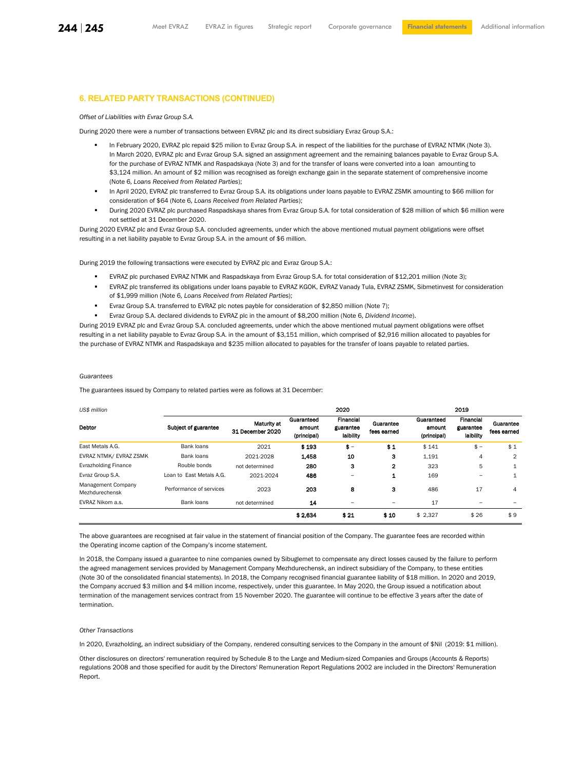## **6. RELATED PARTY TRANSACTIONS (CONTINUED)**

#### *Offset of Liabilities with Evraz Group S.A.*

During 2020 there were a number of transactions between EVRAZ plc and its direct subsidiary Evraz Group S.A.:

- In February 2020, EVRAZ plc repaid \$25 milion to Evraz Group S.A. in respect of the liabilities for the purchase of EVRAZ NTMK (Note 3). In March 2020, EVRAZ plc and Evraz Group S.A. signed an assignment agreement and the remaining balances payable to Evraz Group S.A. for the purchase of EVRAZ NTMK and Raspadskaya (Note 3) and for the transfer of loans were converted into a loan amounting to \$3,124 million. An amount of \$2 million was recognised as foreign exchange gain in the separate statement of comprehensive income (Note 6*, Loans Received from Related Parties*);
- In April 2020, EVRAZ plc transferred to Evraz Group S.A. its obligations under loans payable to EVRAZ ZSMK amounting to \$66 million for consideration of \$64 (Note 6*, Loans Received from Related Parties*);
- During 2020 EVRAZ plc purchased Raspadskaya shares from Evraz Group S.A. for total consideration of \$28 million of which \$6 million were not settled at 31 December 2020.

During 2020 EVRAZ plc and Evraz Group S.A. concluded agreements, under which the above mentioned mutual payment obligations were offset resulting in a net liability payable to Evraz Group S.A. in the amount of \$6 million.

During 2019 the following transactions were executed by EVRAZ plc and Evraz Group S.A.:

- EVRAZ plc purchased EVRAZ NTMK and Raspadskaya from Evraz Group S.A. for total consideration of \$12,201 million (Note 3);
- EVRAZ plc transferred its obligations under loans payable to EVRAZ KGOK, EVRAZ Vanady Tula, EVRAZ ZSMK, Sibmetinvest for consideration of \$1,999 million (Note 6*, Loans Received from Related Parties*);
- Evraz Group S.A. transferred to EVRAZ plc notes payble for consideration of \$2,850 million (Note 7);
- Evraz Group S.A. declared dividends to EVRAZ plc in the amount of \$8,200 million (Note 6*, Dividend Income*).

During 2019 EVRAZ plc and Evraz Group S.A. concluded agreements, under which the above mentioned mutual payment obligations were offset resulting in a net liability payable to Evraz Group S.A. in the amount of \$3,151 million, which comprised of \$2,916 million allocated to payables for the purchase of EVRAZ NTMK and Raspadskaya and \$235 million allocated to payables for the transfer of loans payable to related parties.

#### *Guarantees*

The guarantees issued by Company to related parties were as follows at 31 December:

| US\$ million                         |                          |                                 |                                     | 2020                                |                          |                                     | 2019                                       |                          |
|--------------------------------------|--------------------------|---------------------------------|-------------------------------------|-------------------------------------|--------------------------|-------------------------------------|--------------------------------------------|--------------------------|
| Debtor                               | Subject of guarantee     | Maturity at<br>31 December 2020 | Guaranteed<br>amount<br>(principal) | Financial<br>guarantee<br>laibility | Guarantee<br>fees earned | Guaranteed<br>amount<br>(principal) | <b>Financial</b><br>guarantee<br>laibility | Guarantee<br>fees earned |
| East Metals A.G.                     | Bank loans               | 2021                            | \$193                               | \$ -                                | \$1                      | \$141                               | $$ -$                                      | \$1                      |
| EVRAZ NTMK/ EVRAZ ZSMK               | Bank loans               | 2021-2028                       | 1.458                               | 10                                  | з                        | 1,191                               | 4                                          | $\overline{2}$           |
| <b>Evrazholding Finance</b>          | Rouble bonds             | not determined                  | 280                                 | 3                                   | $\mathbf{2}$             | 323                                 | 5                                          | $\mathbf{1}$             |
| Evraz Group S.A.                     | Loan to East Metals A.G. | 2021-2024                       | 486                                 |                                     |                          | 169                                 |                                            | 1                        |
| Management Company<br>Mezhdurechensk | Performance of services  | 2023                            | 203                                 | 8                                   | з                        | 486                                 | 17                                         | $\overline{4}$           |
| EVRAZ Nikom a.s.                     | Bank loans               | not determined                  | 14                                  | -                                   |                          | 17                                  |                                            |                          |
|                                      |                          |                                 | \$2,634                             | \$21                                | \$10                     | \$2.327                             | \$26                                       | \$9                      |

The above guarantees are recognised at fair value in the statement of financial position of the Company. The guarantee fees are recorded within the Operating income caption of the Company's income statement.

In 2018, the Company issued a guarantee to nine companies owned by Sibuglemet to compensate any direct losses caused by the failure to perform the agreed management services provided by Management Company Mezhdurechensk, an indirect subsidiary of the Company, to these entities (Note 30 of the consolidated financial statements). In 2018, the Company recognised financial guarantee liability of \$18 million. In 2020 and 2019, the Company accrued \$3 million and \$4 million income, respectively, under this guarantee. In May 2020, the Group issued a notification about termination of the management services contract from 15 November 2020. The guarantee will continue to be effective 3 years after the date of termination.

#### *Other Transactions*

In 2020, Evrazholding, an indirect subsidiary of the Company, rendered consulting services to the Company in the amount of \$Nil (2019: \$1 million).

Other disclosures on directors' remuneration required by Schedule 8 to the Large and Medium-sized Companies and Groups (Accounts & Reports) regulations 2008 and those specified for audit by the Directors' Remuneration Report Regulations 2002 are included in the Directors' Remuneration Report.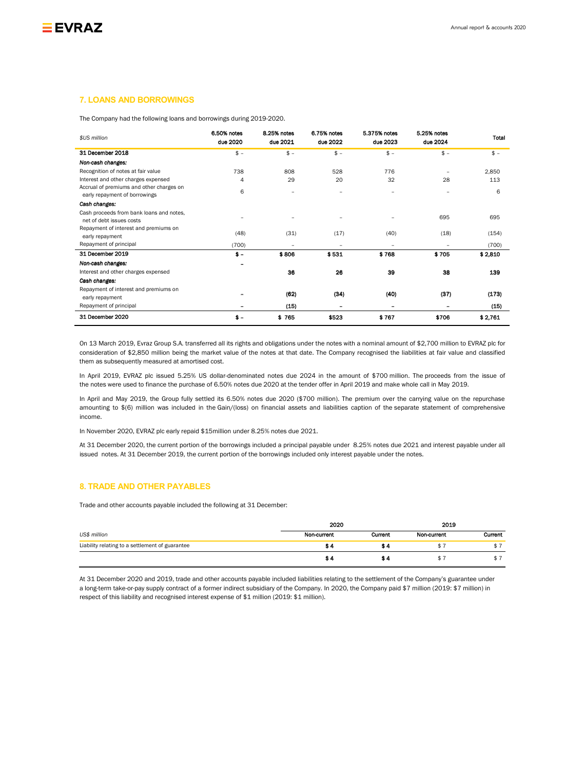

# **7. LOANS AND BORROWINGS**

The Company had the following loans and borrowings during 2019-2020.

| \$US million                                                              | 6.50% notes<br>due 2020 | 8.25% notes<br>due 2021 | 6.75% notes<br>due 2022 | 5.375% notes<br>due 2023 | 5.25% notes<br>due 2024  | Total   |
|---------------------------------------------------------------------------|-------------------------|-------------------------|-------------------------|--------------------------|--------------------------|---------|
| 31 December 2018                                                          | $$ -$                   | $$ -$                   | $$ -$                   | $$ -$                    | $$ -$                    | $$ -$   |
| Non-cash changes:                                                         |                         |                         |                         |                          |                          |         |
| Recognition of notes at fair value                                        | 738                     | 808                     | 528                     | 776                      |                          | 2,850   |
| Interest and other charges expensed                                       | 4                       | 29                      | 20                      | 32                       | 28                       | 113     |
| Accrual of premiums and other charges on<br>early repayment of borrowings | 6                       |                         |                         | $\overline{\phantom{a}}$ | -                        | 6       |
| Cash changes:                                                             |                         |                         |                         |                          |                          |         |
| Cash proceeds from bank loans and notes,<br>net of debt issues costs      |                         |                         |                         |                          | 695                      | 695     |
| Repayment of interest and premiums on<br>early repayment                  | (48)                    | (31)                    | (17)                    | (40)                     | (18)                     | (154)   |
| Repayment of principal                                                    | (700)                   |                         |                         |                          | $\overline{\phantom{0}}$ | (700)   |
| 31 December 2019                                                          | $\bullet$ –             | \$806                   | \$531                   | \$768                    | \$705                    | \$2,810 |
| Non-cash changes:                                                         |                         |                         |                         |                          |                          |         |
| Interest and other charges expensed                                       |                         | 36                      | 26                      | 39                       | 38                       | 139     |
| Cash changes:                                                             |                         |                         |                         |                          |                          |         |
| Repayment of interest and premiums on<br>early repayment                  |                         | (62)                    | (34)                    | (40)                     | (37)                     | (173)   |
| Repayment of principal                                                    | -                       | (15)                    | -                       | ۰                        |                          | (15)    |
| 31 December 2020                                                          | \$ –                    | \$765                   | \$523                   | \$767                    | \$706                    | \$2,761 |

On 13 March 2019, Evraz Group S.A. transferred all its rights and obligations under the notes with a nominal amount of \$2,700 million to EVRAZ plc for consideration of \$2,850 million being the market value of the notes at that date. The Company recognised the liabilities at fair value and classified them as subsequently measured at amortised cost.

In April 2019, EVRAZ plc issued 5.25% US dollar-denominated notes due 2024 in the amount of \$700 million. The proceeds from the issue of the notes were used to finance the purchase of 6.50% notes due 2020 at the tender offer in April 2019 and make whole call in May 2019.

In April and May 2019, the Group fully settled its 6.50% notes due 2020 (\$700 million). The premium over the carrying value on the repurchase amounting to \$(6) million was included in the Gain/(loss) on financial assets and liabilities caption of the separate statement of comprehensive income.

In November 2020, EVRAZ plc early repaid \$15million under 8.25% notes due 2021.

At 31 December 2020, the current portion of the borrowings included a principal payable under 8.25% notes due 2021 and interest payable under all issued notes. At 31 December 2019, the current portion of the borrowings included only interest payable under the notes.

# **8. TRADE AND OTHER PAYABLES**

Trade and other accounts payable included the following at 31 December:

|                                                 | 2020        |                | 2019        |                |
|-------------------------------------------------|-------------|----------------|-------------|----------------|
| US\$ million                                    | Non current | <b>Current</b> | Non-current | <b>Current</b> |
| Liability relating to a settlement of guarantee | 54          | - -            |             |                |
|                                                 | 54          | 54             |             |                |

At 31 December 2020 and 2019, trade and other accounts payable included liabilities relating to the settlement of the Company's guarantee under a long-term take-or-pay supply contract of a former indirect subsidiary of the Company. In 2020, the Company paid \$7 million (2019: \$7 million) in respect of this liability and recognised interest expense of \$1 million (2019: \$1 million).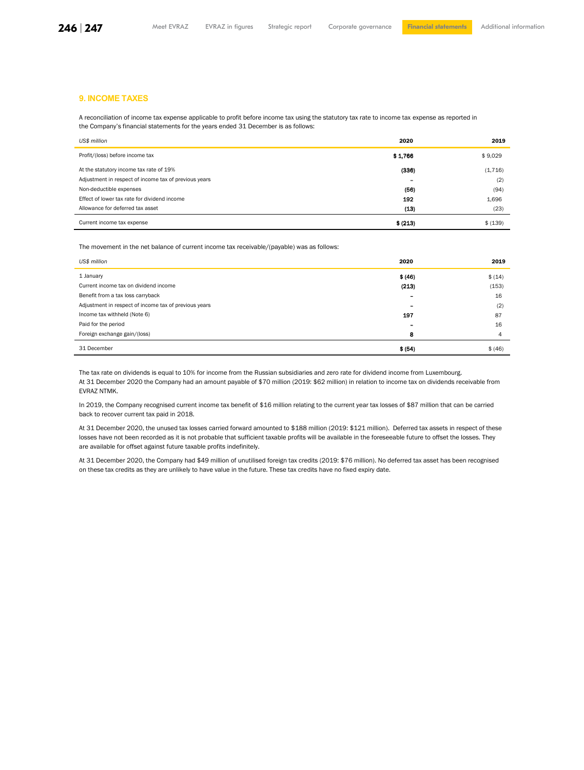# **9. INCOME TAXES**

A reconciliation of income tax expense applicable to profit before income tax using the statutory tax rate to income tax expense as reported in the Company's financial statements for the years ended 31 December is as follows:

| US\$ million                                          | 2020     | 2019     |
|-------------------------------------------------------|----------|----------|
| Profit/(loss) before income tax                       | \$1.766  | \$9,029  |
| At the statutory income tax rate of 19%               | (336)    | (1,716)  |
| Adjustment in respect of income tax of previous years | -        | (2)      |
| Non-deductible expenses                               | (56)     | (94)     |
| Effect of lower tax rate for dividend income          | 192      | 1,696    |
| Allowance for deferred tax asset                      | (13)     | (23)     |
| Current income tax expense                            | \$ (213) | \$ (139) |

#### The movement in the net balance of current income tax receivable/(payable) was as follows:

| US\$ million                                          | 2020    | 2019    |
|-------------------------------------------------------|---------|---------|
| 1 January                                             | \$ (46) | \$ (14) |
| Current income tax on dividend income                 | (213)   | (153)   |
| Benefit from a tax loss carryback                     | -       | 16      |
| Adjustment in respect of income tax of previous years | -       | (2)     |
| Income tax withheld (Note 6)                          | 197     | 87      |
| Paid for the period                                   |         | 16      |
| Foreign exchange gain/(loss)                          | 8       | 4       |
| 31 December                                           | \$ (54) | \$ (46) |

The tax rate on dividends is equal to 10% for income from the Russian subsidiaries and zero rate for dividend income from Luxembourg. At 31 December 2020 the Company had an amount payable of \$70 million (2019: \$62 million) in relation to income tax on dividends receivable from EVRAZ NTMK.

In 2019, the Company recognised current income tax benefit of \$16 million relating to the current year tax losses of \$87 million that can be carried back to recover current tax paid in 2018.

At 31 December 2020, the unused tax losses carried forward amounted to \$188 million (2019: \$121 million). Deferred tax assets in respect of these losses have not been recorded as it is not probable that sufficient taxable profits will be available in the foreseeable future to offset the losses. They are available for offset against future taxable profits indefinitely.

At 31 December 2020, the Company had \$49 million of unutilised foreign tax credits (2019: \$76 million). No deferred tax asset has been recognised on these tax credits as they are unlikely to have value in the future. These tax credits have no fixed expiry date.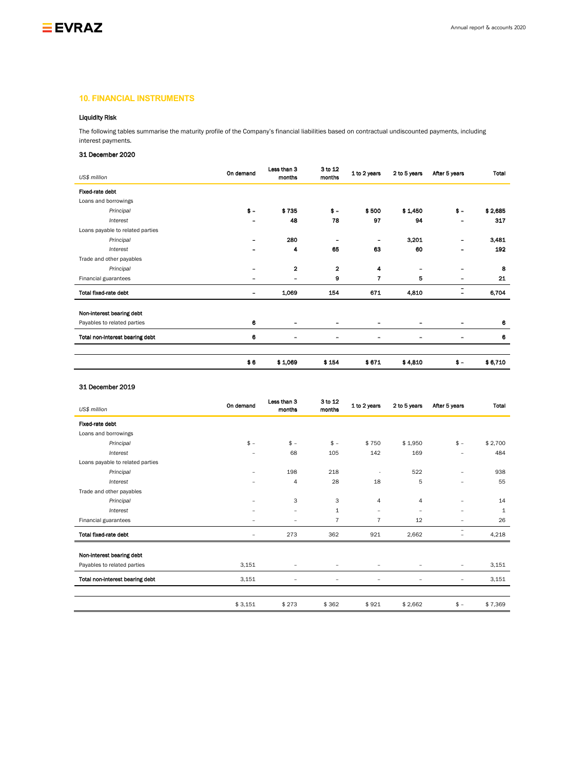

# **10. FINANCIAL INSTRUMENTS**

# Liquidity Risk

The following tables summarise the maturity profile of the Company's financial liabilities based on contractual undiscounted payments, including interest payments.

# 31 December 2020

| US\$ million                     | On demand | Less than 3<br>months | 3 to 12<br>months        | 1 to 2 years                 | 2 to 5 years             | After 5 years                | Total   |
|----------------------------------|-----------|-----------------------|--------------------------|------------------------------|--------------------------|------------------------------|---------|
| Fixed-rate debt                  |           |                       |                          |                              |                          |                              |         |
| Loans and borrowings             |           |                       |                          |                              |                          |                              |         |
| Principal                        | $s -$     | \$735                 | $s -$                    | \$500                        | \$1,450                  | $s -$                        | \$2,685 |
| Interest                         |           | 48                    | 78                       | 97                           | 94                       | $\qquad \qquad \blacksquare$ | 317     |
| Loans payable to related parties |           |                       |                          |                              |                          |                              |         |
| Principal                        |           | 280                   | $\overline{\phantom{0}}$ | $\qquad \qquad \blacksquare$ | 3,201                    | -                            | 3,481   |
| Interest                         |           | 4                     | 65                       | 63                           | 60                       | $\overline{\phantom{0}}$     | 192     |
| Trade and other payables         |           |                       |                          |                              |                          |                              |         |
| Principal                        |           | $\mathbf{2}$          | $\mathbf{2}$             | 4                            | $\overline{\phantom{0}}$ | $\overline{\phantom{0}}$     | 8       |
| Financial guarantees             | -         | ۰                     | 9                        | 7                            | 5                        | -                            | 21      |
| Total fixed-rate debt            | -         | 1,069                 | 154                      | 671                          | 4,810                    | -<br>-                       | 6,704   |
| Non-interest bearing debt        |           |                       |                          |                              |                          |                              |         |
| Payables to related parties      | 6         | -                     | -                        | -                            | -                        | $\overline{\phantom{0}}$     | 6       |
| Total non-interest bearing debt  | 6         |                       |                          |                              | -                        | $\overline{\phantom{0}}$     | 6       |
|                                  |           |                       |                          |                              |                          |                              |         |
|                                  | \$6       | \$1,069               | \$154                    | \$671                        | \$4,810                  | $\bullet$ –                  | \$6,710 |

# 31 December 2019

| US\$ million                     | On demand                | Less than 3<br>months    | 3 to 12<br>months        | 1 to 2 years             | 2 to 5 years             | After 5 years                 | Total   |
|----------------------------------|--------------------------|--------------------------|--------------------------|--------------------------|--------------------------|-------------------------------|---------|
| Fixed-rate debt                  |                          |                          |                          |                          |                          |                               |         |
| Loans and borrowings             |                          |                          |                          |                          |                          |                               |         |
| Principal                        | $$ -$                    | $$ -$                    | $$ -$                    | \$750                    | \$1,950                  | $$ -$                         | \$2,700 |
| Interest                         |                          | 68                       | 105                      | 142                      | 169                      | ٠                             | 484     |
| Loans payable to related parties |                          |                          |                          |                          |                          |                               |         |
| Principal                        | ۰                        | 198                      | 218                      | ٠                        | 522                      | ۰                             | 938     |
| Interest                         | $\overline{\phantom{0}}$ | 4                        | 28                       | 18                       | 5                        | ۰                             | 55      |
| Trade and other payables         |                          |                          |                          |                          |                          |                               |         |
| Principal                        | ۰                        | 3                        | 3                        | $\overline{4}$           | $\overline{4}$           | ٠                             | 14      |
| Interest                         | ٠                        | $\overline{\phantom{a}}$ | $\mathbf{1}$             | $\overline{\phantom{a}}$ | $\overline{\phantom{a}}$ | $\overline{\phantom{a}}$      | 1       |
| Financial guarantees             | ۰                        | $\overline{\phantom{a}}$ | $\overline{7}$           | $\overline{7}$           | 12                       | ۰                             | 26      |
| Total fixed-rate debt            | ۰                        | 273                      | 362                      | 921                      | 2,662                    | ۰<br>$\overline{\phantom{a}}$ | 4,218   |
| Non-interest bearing debt        |                          |                          |                          |                          |                          |                               |         |
| Payables to related parties      | 3,151                    | ۰                        | $\overline{\phantom{0}}$ | $\overline{\phantom{a}}$ | $\overline{\phantom{0}}$ | $\overline{\phantom{a}}$      | 3,151   |
| Total non-interest bearing debt  | 3,151                    | ۰                        | -                        | $\overline{\phantom{a}}$ | $\overline{\phantom{0}}$ | $\qquad \qquad -$             | 3,151   |
|                                  |                          |                          |                          |                          |                          |                               |         |
|                                  | \$3,151                  | \$273                    | \$362                    | \$921                    | \$2,662                  | $$ -$                         | \$7,369 |